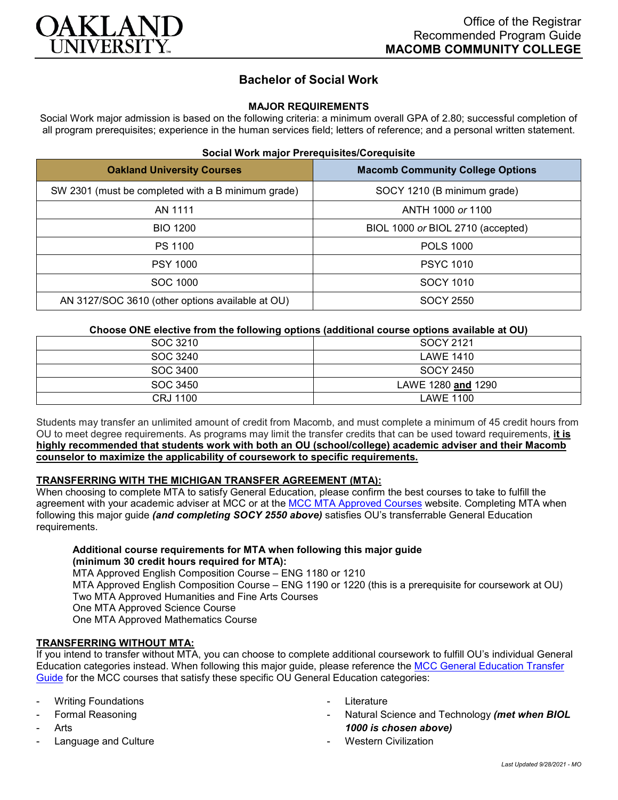

# **Bachelor of Social Work**

### **MAJOR REQUIREMENTS**

Social Work major admission is based on the following criteria: a minimum overall GPA of 2.80; successful completion of all program prerequisites; experience in the human services field; letters of reference; and a personal written statement.

### **Social Work major Prerequisites/Corequisite**

| <b>Oakland University Courses</b>                  | <b>Macomb Community College Options</b> |
|----------------------------------------------------|-----------------------------------------|
| SW 2301 (must be completed with a B minimum grade) | SOCY 1210 (B minimum grade)             |
| AN 1111                                            | ANTH 1000 or 1100                       |
| <b>BIO 1200</b>                                    | BIOL 1000 or BIOL 2710 (accepted)       |
| PS 1100                                            | <b>POLS 1000</b>                        |
| <b>PSY 1000</b>                                    | <b>PSYC 1010</b>                        |
| SOC 1000                                           | SOCY 1010                               |
| AN 3127/SOC 3610 (other options available at OU)   | SOCY 2550                               |

### **Choose ONE elective from the following options (additional course options available at OU)**

| SOC 3210 | SOCY 2121          |
|----------|--------------------|
| SOC 3240 | <b>LAWE 1410</b>   |
| SOC 3400 | SOCY 2450          |
| SOC 3450 | LAWE 1280 and 1290 |
| CRJ 1100 | LAWE 1100          |

Students may transfer an unlimited amount of credit from Macomb, and must complete a minimum of 45 credit hours from OU to meet degree requirements. As programs may limit the transfer credits that can be used toward requirements, **it is highly recommended that students work with both an OU (school/college) academic adviser and their Macomb counselor to maximize the applicability of coursework to specific requirements.**

# **TRANSFERRING WITH THE MICHIGAN TRANSFER AGREEMENT (MTA):**

When choosing to complete MTA to satisfy General Education, please confirm the best courses to take to fulfill the agreement with your academic adviser at MCC or at the [MCC MTA Approved Courses](http://www.macomb.edu/resources/transfer-articulation/attachments/mta-macrao-course-list.pdf) website. Completing MTA when following this major guide *(and completing SOCY 2550 above)* satisfies OU's transferrable General Education requirements.

# **Additional course requirements for MTA when following this major guide (minimum 30 credit hours required for MTA):**

MTA Approved English Composition Course – ENG 1180 or 1210 MTA Approved English Composition Course – ENG 1190 or 1220 (this is a prerequisite for coursework at OU) Two MTA Approved Humanities and Fine Arts Courses One MTA Approved Science Course One MTA Approved Mathematics Course

### **TRANSFERRING WITHOUT MTA:**

If you intend to transfer without MTA, you can choose to complete additional coursework to fulfill OU's individual General Education categories instead. When following this major guide, please reference the [MCC General Education Transfer](https://wwwp.oakland.edu/Assets/Oakland/program-guides/macomb-community-college/university-general-education-requirements/MCC%20Gen%20Ed.pdf)  [Guide](https://wwwp.oakland.edu/Assets/Oakland/program-guides/macomb-community-college/university-general-education-requirements/MCC%20Gen%20Ed.pdf) for the MCC courses that satisfy these specific OU General Education categories:

- **Writing Foundations**
- Formal Reasoning
- **Arts**
- Language and Culture
- **Literature**
- Natural Science and Technology *(met when BIOL 1000 is chosen above)*
- Western Civilization